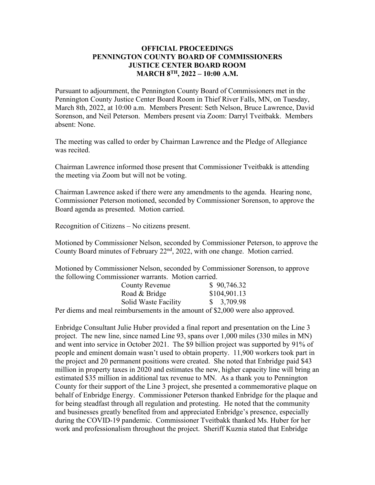## **OFFICIAL PROCEEDINGS PENNINGTON COUNTY BOARD OF COMMISSIONERS JUSTICE CENTER BOARD ROOM MARCH 8TH, 2022 – 10:00 A.M.**

Pursuant to adjournment, the Pennington County Board of Commissioners met in the Pennington County Justice Center Board Room in Thief River Falls, MN, on Tuesday, March 8th, 2022, at 10:00 a.m. Members Present: Seth Nelson, Bruce Lawrence, David Sorenson, and Neil Peterson. Members present via Zoom: Darryl Tveitbakk. Members absent: None.

The meeting was called to order by Chairman Lawrence and the Pledge of Allegiance was recited.

Chairman Lawrence informed those present that Commissioner Tveitbakk is attending the meeting via Zoom but will not be voting.

Chairman Lawrence asked if there were any amendments to the agenda. Hearing none, Commissioner Peterson motioned, seconded by Commissioner Sorenson, to approve the Board agenda as presented. Motion carried.

Recognition of Citizens – No citizens present.

Motioned by Commissioner Nelson, seconded by Commissioner Peterson, to approve the County Board minutes of February 22<sup>nd</sup>, 2022, with one change. Motion carried.

Motioned by Commissioner Nelson, seconded by Commissioner Sorenson, to approve the following Commissioner warrants. Motion carried.

| <b>County Revenue</b> | \$90,746.32  |
|-----------------------|--------------|
| Road & Bridge         | \$104,901.13 |
| Solid Waste Facility  | \$3,709.98   |
|                       | 0.0000       |

Per diems and meal reimbursements in the amount of \$2,000 were also approved.

Enbridge Consultant Julie Huber provided a final report and presentation on the Line 3 project. The new line, since named Line 93, spans over 1,000 miles (330 miles in MN) and went into service in October 2021. The \$9 billion project was supported by 91% of people and eminent domain wasn't used to obtain property. 11,900 workers took part in the project and 20 permanent positions were created. She noted that Enbridge paid \$43 million in property taxes in 2020 and estimates the new, higher capacity line will bring an estimated \$35 million in additional tax revenue to MN. As a thank you to Pennington County for their support of the Line 3 project, she presented a commemorative plaque on behalf of Enbridge Energy. Commissioner Peterson thanked Enbridge for the plaque and for being steadfast through all regulation and protesting. He noted that the community and businesses greatly benefited from and appreciated Enbridge's presence, especially during the COVID-19 pandemic. Commissioner Tveitbakk thanked Ms. Huber for her work and professionalism throughout the project. Sheriff Kuznia stated that Enbridge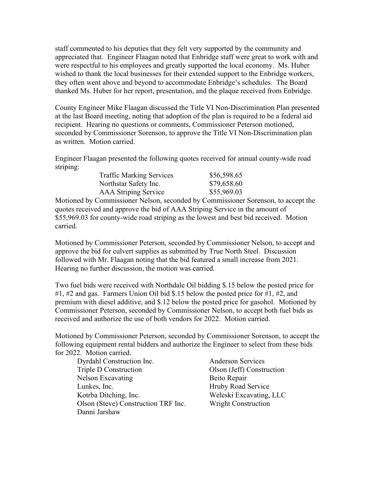staff commented to his deputies that they felt very supported by the community and appreciated that. Engineer Flaagan noted that Enbridge staff were great to work with and were respectful to his employees and greatly supported the local economy. Ms. Huber wished to thank the local businesses for their extended support to the Enbridge workers, they often went above and beyond to accommodate Enbridge's schedules. The Board thanked Ms. Huber for her report, presentation, and the plaque received from Enbridge.

County Engineer Mike Flaagan discussed the Title VI Non-Discrimination Plan presented at the last Board meeting, noting that adoption of the plan is required to be a federal aid recipient. Hearing no questions or comments, Commissioner Peterson motioned, seconded by Commissioner Sorenson, to approve the Title VI Non-Discrimination plan as written. Motion carried.

Engineer Flaagan presented the following quotes received for annual county-wide road striping:

| <b>Traffic Marking Services</b> | \$56,598.65 |
|---------------------------------|-------------|
| Northstar Safety Inc.           | \$79,658.60 |
| <b>AAA Striping Service</b>     | \$55,969.03 |

Motioned by Commissioner Nelson, seconded by Commissioner Sorenson, to accept the quotes received and approve the bid of AAA Striping Service in the amount of \$55,969.03 for county-wide road striping as the lowest and best bid received. Motion carried.

Motioned by Commissioner Peterson, seconded by Commissioner Nelson, to accept and approve the bid for culvert supplies as submitted by True North Steel. Discussion followed with Mr. Flaagan noting that the bid featured a small increase from 2021. Hearing no further discussion, the motion was carried.

Two fuel bids were received with Northdale Oil bidding \$.15 below the posted price for #1, #2 and gas. Farmers Union Oil bid \$.15 below the posted price for #1, #2, and premium with diesel additive, and \$.12 below the posted price for gasohol. Motioned by Commissioner Peterson, seconded by Commissioner Nelson, to accept both fuel bids as received and authorize the use of both vendors for 2022. Motion carried.

Motioned by Commissioner Peterson, seconded by Commissioner Sorenson, to accept the following equipment rental bidders and authorize the Engineer to select from these bids for 2022. Motion carried.

Dyrdahl Construction Inc. Anderson Services Triple D Construction Olson (Jeff) Construction Nelson Excavating Beito Repair Lunkes, Inc. **Hruby Road Service** Kotrba Ditching, Inc. Weleski Excavating, LLC Olson (Steve) Construction TRF Inc. Wright Construction Danni Jarshaw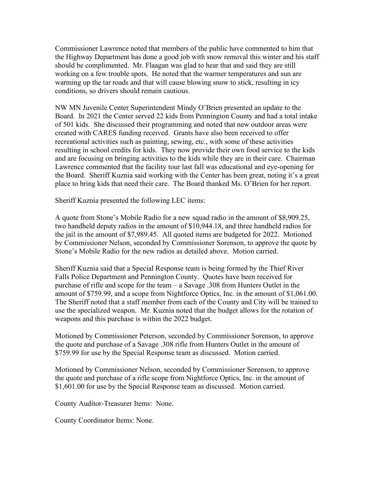Commissioner Lawrence noted that members of the public have commented to him that the Highway Department has done a good job with snow removal this winter and his staff should be complimented. Mr. Flaagan was glad to hear that and said they are still working on a few trouble spots. He noted that the warmer temperatures and sun are warming up the tar roads and that will cause blowing snow to stick, resulting in icy conditions, so drivers should remain cautious.

NW MN Juvenile Center Superintendent Mindy O'Brien presented an update to the Board. In 2021 the Center served 22 kids from Pennington County and had a total intake of 501 kids. She discussed their programming and noted that new outdoor areas were created with CARES funding received. Grants have also been received to offer recreational activities such as painting, sewing, etc., with some of these activities resulting in school credits for kids. They now provide their own food service to the kids and are focusing on bringing activities to the kids while they are in their care. Chairman Lawrence commented that the facility tour last fall was educational and eye-opening for the Board. Sheriff Kuznia said working with the Center has been great, noting it's a great place to bring kids that need their care. The Board thanked Ms. O'Brien for her report.

Sheriff Kuznia presented the following LEC items:

A quote from Stone's Mobile Radio for a new squad radio in the amount of \$8,909.25, two handheld deputy radios in the amount of \$10,944.18, and three handheld radios for the jail in the amount of \$7,989.45. All quoted items are budgeted for 2022. Motioned by Commissioner Nelson, seconded by Commissioner Sorenson, to approve the quote by Stone's Mobile Radio for the new radios as detailed above. Motion carried.

Sheriff Kuznia said that a Special Response team is being formed by the Thief River Falls Police Department and Pennington County. Quotes have been received for purchase of rifle and scope for the team – a Savage .308 from Hunters Outlet in the amount of \$759.99, and a scope from Nightforce Optics, Inc. in the amount of \$1,061.00. The Sheriff noted that a staff member from each of the County and City will be trained to use the specialized weapon. Mr. Kuznia noted that the budget allows for the rotation of weapons and this purchase is within the 2022 budget.

Motioned by Commissioner Peterson, seconded by Commissioner Sorenson, to approve the quote and purchase of a Savage .308 rifle from Hunters Outlet in the amount of \$759.99 for use by the Special Response team as discussed. Motion carried.

Motioned by Commissioner Nelson, seconded by Commissioner Sorenson, to approve the quote and purchase of a rifle scope from Nightforce Optics, Inc. in the amount of \$1,601.00 for use by the Special Response team as discussed. Motion carried.

County Auditor-Treasurer Items: None.

County Coordinator Items: None.